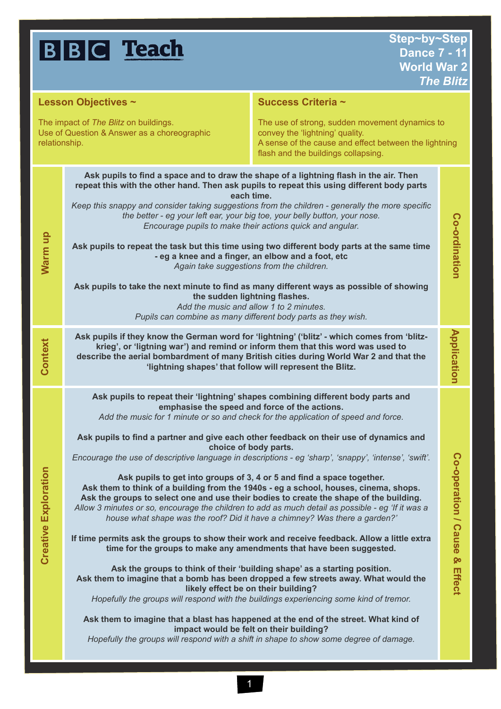|                                                                                                                                                                                 | <b>BBC</b> Teach                                                                                                                                                                                                                                                                                                                                                                                                                                                                                                                                                                                                                                                                                                                                                                                                                                                                             | Step~by~Step<br><b>Dance 7 - 11</b><br><b>World War 2</b>                                                                                                                                                                                                                                                                                                                                                                                                                                                                                                                                                                                                                                                                                                                                                                                                                                                                                                                                                                                                                                                                                                                                                                                                                                                                                                                                                                                | <b>The Blitz</b>                 |
|---------------------------------------------------------------------------------------------------------------------------------------------------------------------------------|----------------------------------------------------------------------------------------------------------------------------------------------------------------------------------------------------------------------------------------------------------------------------------------------------------------------------------------------------------------------------------------------------------------------------------------------------------------------------------------------------------------------------------------------------------------------------------------------------------------------------------------------------------------------------------------------------------------------------------------------------------------------------------------------------------------------------------------------------------------------------------------------|------------------------------------------------------------------------------------------------------------------------------------------------------------------------------------------------------------------------------------------------------------------------------------------------------------------------------------------------------------------------------------------------------------------------------------------------------------------------------------------------------------------------------------------------------------------------------------------------------------------------------------------------------------------------------------------------------------------------------------------------------------------------------------------------------------------------------------------------------------------------------------------------------------------------------------------------------------------------------------------------------------------------------------------------------------------------------------------------------------------------------------------------------------------------------------------------------------------------------------------------------------------------------------------------------------------------------------------------------------------------------------------------------------------------------------------|----------------------------------|
| Lesson Objectives ~                                                                                                                                                             |                                                                                                                                                                                                                                                                                                                                                                                                                                                                                                                                                                                                                                                                                                                                                                                                                                                                                              | Success Criteria ~                                                                                                                                                                                                                                                                                                                                                                                                                                                                                                                                                                                                                                                                                                                                                                                                                                                                                                                                                                                                                                                                                                                                                                                                                                                                                                                                                                                                                       |                                  |
| The impact of The Blitz on buildings.<br>Use of Question & Answer as a choreographic<br>convey the 'lightning' quality.<br>relationship.<br>flash and the buildings collapsing. |                                                                                                                                                                                                                                                                                                                                                                                                                                                                                                                                                                                                                                                                                                                                                                                                                                                                                              | The use of strong, sudden movement dynamics to<br>A sense of the cause and effect between the lightning                                                                                                                                                                                                                                                                                                                                                                                                                                                                                                                                                                                                                                                                                                                                                                                                                                                                                                                                                                                                                                                                                                                                                                                                                                                                                                                                  |                                  |
| Warm up                                                                                                                                                                         | Ask pupils to find a space and to draw the shape of a lightning flash in the air. Then<br>repeat this with the other hand. Then ask pupils to repeat this using different body parts<br>each time.<br>Keep this snappy and consider taking suggestions from the children - generally the more specific<br>the better - eg your left ear, your big toe, your belly button, your nose.<br>Encourage pupils to make their actions quick and angular.<br>Ask pupils to repeat the task but this time using two different body parts at the same time<br>- eg a knee and a finger, an elbow and a foot, etc<br>Again take suggestions from the children.<br>Ask pupils to take the next minute to find as many different ways as possible of showing<br>the sudden lightning flashes.<br>Add the music and allow 1 to 2 minutes.<br>Pupils can combine as many different body parts as they wish. |                                                                                                                                                                                                                                                                                                                                                                                                                                                                                                                                                                                                                                                                                                                                                                                                                                                                                                                                                                                                                                                                                                                                                                                                                                                                                                                                                                                                                                          | Co-ordination                    |
| Context                                                                                                                                                                         |                                                                                                                                                                                                                                                                                                                                                                                                                                                                                                                                                                                                                                                                                                                                                                                                                                                                                              | Ask pupils if they know the German word for 'lightning' ('blitz' - which comes from 'blitz-<br>krieg', or 'ligtning war') and remind or inform them that this word was used to<br>describe the aerial bombardment of many British cities during World War 2 and that the<br>'lightning shapes' that follow will represent the Blitz.                                                                                                                                                                                                                                                                                                                                                                                                                                                                                                                                                                                                                                                                                                                                                                                                                                                                                                                                                                                                                                                                                                     | <b>Application</b>               |
| <b>Creative Exploration</b>                                                                                                                                                     | Ask pupils to find a partner and give each other feedback on their use of dynamics and<br>Ask pupils to get into groups of 3, 4 or 5 and find a space together.                                                                                                                                                                                                                                                                                                                                                                                                                                                                                                                                                                                                                                                                                                                              | Ask pupils to repeat their 'lightning' shapes combining different body parts and<br>emphasise the speed and force of the actions.<br>Add the music for 1 minute or so and check for the application of speed and force.<br>choice of body parts.<br>Encourage the use of descriptive language in descriptions - eg 'sharp', 'snappy', 'intense', 'swift'.<br>Ask them to think of a building from the 1940s - eg a school, houses, cinema, shops.<br>Ask the groups to select one and use their bodies to create the shape of the building.<br>Allow 3 minutes or so, encourage the children to add as much detail as possible - eg 'If it was a<br>house what shape was the roof? Did it have a chimney? Was there a garden?'<br>If time permits ask the groups to show their work and receive feedback. Allow a little extra<br>time for the groups to make any amendments that have been suggested.<br>Ask the groups to think of their 'building shape' as a starting position.<br>Ask them to imagine that a bomb has been dropped a few streets away. What would the<br>likely effect be on their building?<br>Hopefully the groups will respond with the buildings experiencing some kind of tremor.<br>Ask them to imagine that a blast has happened at the end of the street. What kind of<br>impact would be felt on their building?<br>Hopefully the groups will respond with a shift in shape to show some degree of damage. | Co-operation / Cause &<br>Effect |